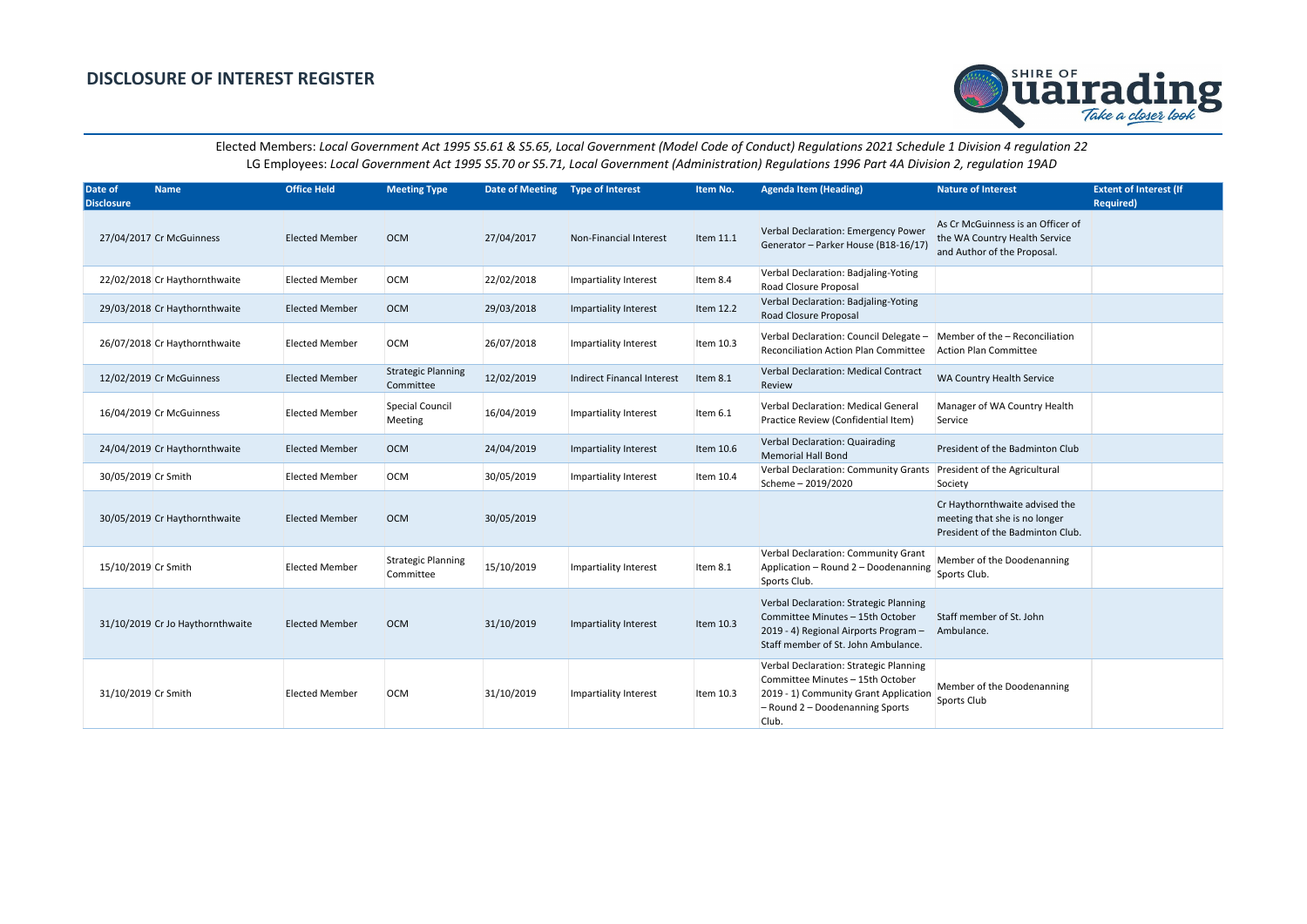| Date of<br><b>Disclosure</b> | <b>Name</b>                      | <b>Office Held</b>    | <b>Meeting Type</b>                    | Date of Meeting  Type of Interest |                                   | Item No.  | <b>Agenda Item (Heading)</b>                                                                                                                                      | <b>Nature of Interest</b>                                                                           | <b>Extent of Interest (If</b><br><b>Required)</b> |
|------------------------------|----------------------------------|-----------------------|----------------------------------------|-----------------------------------|-----------------------------------|-----------|-------------------------------------------------------------------------------------------------------------------------------------------------------------------|-----------------------------------------------------------------------------------------------------|---------------------------------------------------|
|                              | 27/04/2017 Cr McGuinness         | <b>Elected Member</b> | <b>OCM</b>                             | 27/04/2017                        | <b>Non-Financial Interest</b>     | Item 11.1 | Verbal Declaration: Emergency Power<br>Generator - Parker House (B18-16/17)                                                                                       | As Cr McGuinness is an Officer of<br>the WA Country Health Service<br>and Author of the Proposal.   |                                                   |
|                              | 22/02/2018 Cr Haythornthwaite    | <b>Elected Member</b> | <b>OCM</b>                             | 22/02/2018                        | Impartiality Interest             | Item 8.4  | Verbal Declaration: Badjaling-Yoting<br>Road Closure Proposal                                                                                                     |                                                                                                     |                                                   |
|                              | 29/03/2018 Cr Haythornthwaite    | <b>Elected Member</b> | <b>OCM</b>                             | 29/03/2018                        | Impartiality Interest             | Item 12.2 | Verbal Declaration: Badjaling-Yoting<br>Road Closure Proposal                                                                                                     |                                                                                                     |                                                   |
|                              | 26/07/2018 Cr Haythornthwaite    | <b>Elected Member</b> | <b>OCM</b>                             | 26/07/2018                        | Impartiality Interest             | Item 10.3 | Verbal Declaration: Council Delegate $-$ Member of the $-$ Reconciliation<br>Reconciliation Action Plan Committee                                                 | Action Plan Committee                                                                               |                                                   |
|                              | 12/02/2019 Cr McGuinness         | <b>Elected Member</b> | <b>Strategic Planning</b><br>Committee | 12/02/2019                        | <b>Indirect Financal Interest</b> | Item 8.1  | Verbal Declaration: Medical Contract<br>Review                                                                                                                    | WA Country Health Service                                                                           |                                                   |
|                              | 16/04/2019 Cr McGuinness         | <b>Elected Member</b> | Special Council<br>Meeting             | 16/04/2019                        | Impartiality Interest             | Item 6.1  | Verbal Declaration: Medical General<br>Practice Review (Confidential Item)                                                                                        | Manager of WA Country Health<br>Service                                                             |                                                   |
|                              | 24/04/2019 Cr Haythornthwaite    | <b>Elected Member</b> | <b>OCM</b>                             | 24/04/2019                        | Impartiality Interest             | Item 10.6 | Verbal Declaration: Quairading<br><b>Memorial Hall Bond</b>                                                                                                       | President of the Badminton Club                                                                     |                                                   |
| 30/05/2019 Cr Smith          |                                  | <b>Elected Member</b> | <b>OCM</b>                             | 30/05/2019                        | Impartiality Interest             | Item 10.4 | Verbal Declaration: Community Grants<br>Scheme - 2019/2020                                                                                                        | President of the Agricultural<br>Society                                                            |                                                   |
|                              | 30/05/2019 Cr Haythornthwaite    | <b>Elected Member</b> | <b>OCM</b>                             | 30/05/2019                        |                                   |           |                                                                                                                                                                   | Cr Haythornthwaite advised the<br>meeting that she is no longer<br>President of the Badminton Club. |                                                   |
| 15/10/2019 Cr Smith          |                                  | <b>Elected Member</b> | <b>Strategic Planning</b><br>Committee | 15/10/2019                        | Impartiality Interest             | Item 8.1  | Verbal Declaration: Community Grant<br>Application - Round 2 - Doodenanning<br>Sports Club.                                                                       | Member of the Doodenanning<br>Sports Club.                                                          |                                                   |
|                              | 31/10/2019 Cr Jo Haythornthwaite | <b>Elected Member</b> | <b>OCM</b>                             | 31/10/2019                        | Impartiality Interest             | Item 10.3 | Verbal Declaration: Strategic Planning<br>Committee Minutes - 15th October<br>2019 - 4) Regional Airports Program -<br>Staff member of St. John Ambulance.        | Staff member of St. John<br>Ambulance.                                                              |                                                   |
| 31/10/2019 Cr Smith          |                                  | <b>Elected Member</b> | <b>OCM</b>                             | 31/10/2019                        | Impartiality Interest             | Item 10.3 | Verbal Declaration: Strategic Planning<br>Committee Minutes - 15th October<br>2019 - 1) Community Grant Application<br>$-$ Round 2 – Doodenanning Sports<br>Club. | Member of the Doodenanning<br>Sports Club                                                           |                                                   |

| <b>Nature of Interest</b>                                                                           | <b>Extent of Interest (If</b><br><b>Required)</b> |
|-----------------------------------------------------------------------------------------------------|---------------------------------------------------|
| As Cr McGuinness is an Officer of<br>the WA Country Health Service<br>and Author of the Proposal.   |                                                   |
|                                                                                                     |                                                   |
|                                                                                                     |                                                   |
| Member of the - Reconciliation<br><b>Action Plan Committee</b>                                      |                                                   |
| WA Country Health Service                                                                           |                                                   |
| Manager of WA Country Health<br>Service                                                             |                                                   |
| President of the Badminton Club                                                                     |                                                   |
| President of the Agricultural<br>Society                                                            |                                                   |
| Cr Haythornthwaite advised the<br>meeting that she is no longer<br>President of the Badminton Club. |                                                   |
| Member of the Doodenanning<br>Sports Club.                                                          |                                                   |
| Staff member of St. John<br>Ambulance.                                                              |                                                   |
| Member of the Doodenanning<br>Sports Club                                                           |                                                   |

## **DISCLOSURE OF INTEREST REGISTER**



Elected Members: *Local Government Act 1995 S5.61 & S5.65, Local Government (Model Code of Conduct) Regulations 2021 Schedule 1 Division 4 regulation 22* LG Employees: *Local Government Act 1995 S5.70 or S5.71, Local Government (Administration) Regulations 1996 Part 4A Division 2, regulation 19AD*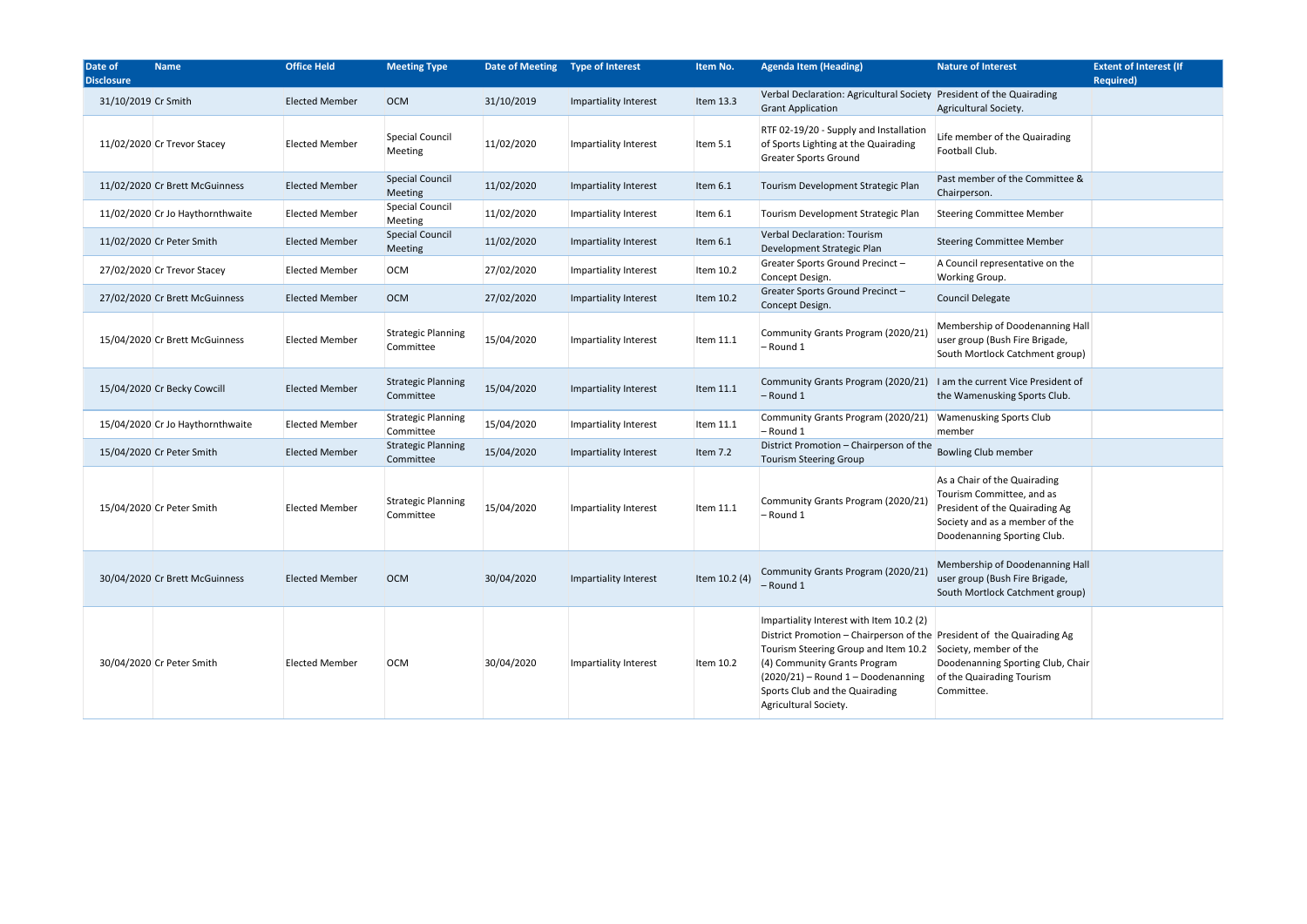|                            | <b>Nature of Interest</b>                                                                                                                                    | <b>Extent of Interest (If</b><br><b>Required)</b> |
|----------------------------|--------------------------------------------------------------------------------------------------------------------------------------------------------------|---------------------------------------------------|
|                            | ciety President of the Quairading<br>Agricultural Society.                                                                                                   |                                                   |
| ion:<br>g                  | Life member of the Quairading<br>Football Club.                                                                                                              |                                                   |
| яn                         | Past member of the Committee &<br>Chairperson.                                                                                                               |                                                   |
| яn                         | <b>Steering Committee Member</b>                                                                                                                             |                                                   |
|                            | <b>Steering Committee Member</b>                                                                                                                             |                                                   |
|                            | A Council representative on the<br>Working Group.                                                                                                            |                                                   |
|                            | <b>Council Delegate</b>                                                                                                                                      |                                                   |
| (21)                       | Membership of Doodenanning Hall<br>user group (Bush Fire Brigade,<br>South Mortlock Catchment group)                                                         |                                                   |
| (21)                       | I am the current Vice President of<br>the Wamenusking Sports Club.                                                                                           |                                                   |
| /21)                       | <b>Wamenusking Sports Club</b><br>member                                                                                                                     |                                                   |
| f the                      | <b>Bowling Club member</b>                                                                                                                                   |                                                   |
| /21)                       | As a Chair of the Quairading<br>Tourism Committee, and as<br>President of the Quairading Ag<br>Society and as a member of the<br>Doodenanning Sporting Club. |                                                   |
| (21)                       | Membership of Doodenanning Hall<br>user group (Bush Fire Brigade,<br>South Mortlock Catchment group)                                                         |                                                   |
| $\cdot$ (2)<br>10.2<br>ing | f the President of the Quairading Ag<br>Society, member of the<br>Doodenanning Sporting Club, Chair<br>of the Quairading Tourism<br>Committee.               |                                                   |

| Date of<br><b>Disclosure</b> | <b>Name</b>                      | <b>Office Held</b>    | <b>Meeting Type</b>                    | Date of Meeting  Type of Interest |                       | Item No.      | <b>Agenda Item (Heading)</b>                                                                                                                                                                                                                                                                                         | <b>Nature of Interest</b>                                                                                                                                    | <b>Extent of Interest (If</b><br><b>Required)</b> |
|------------------------------|----------------------------------|-----------------------|----------------------------------------|-----------------------------------|-----------------------|---------------|----------------------------------------------------------------------------------------------------------------------------------------------------------------------------------------------------------------------------------------------------------------------------------------------------------------------|--------------------------------------------------------------------------------------------------------------------------------------------------------------|---------------------------------------------------|
| 31/10/2019 Cr Smith          |                                  | <b>Elected Member</b> | <b>OCM</b>                             | 31/10/2019                        | Impartiality Interest | Item 13.3     | Verbal Declaration: Agricultural Society President of the Quairading<br><b>Grant Application</b>                                                                                                                                                                                                                     | Agricultural Society.                                                                                                                                        |                                                   |
|                              | 11/02/2020 Cr Trevor Stacey      | <b>Elected Member</b> | <b>Special Council</b><br>Meeting      | 11/02/2020                        | Impartiality Interest | Item 5.1      | RTF 02-19/20 - Supply and Installation<br>of Sports Lighting at the Quairading<br><b>Greater Sports Ground</b>                                                                                                                                                                                                       | Life member of the Quairading<br>Football Club.                                                                                                              |                                                   |
|                              | 11/02/2020 Cr Brett McGuinness   | <b>Elected Member</b> | <b>Special Council</b><br>Meeting      | 11/02/2020                        | Impartiality Interest | Item 6.1      | Tourism Development Strategic Plan                                                                                                                                                                                                                                                                                   | Past member of the Committee &<br>Chairperson.                                                                                                               |                                                   |
|                              | 11/02/2020 Cr Jo Haythornthwaite | <b>Elected Member</b> | Special Council<br>Meeting             | 11/02/2020                        | Impartiality Interest | Item 6.1      | Tourism Development Strategic Plan                                                                                                                                                                                                                                                                                   | <b>Steering Committee Member</b>                                                                                                                             |                                                   |
|                              | 11/02/2020 Cr Peter Smith        | <b>Elected Member</b> | <b>Special Council</b><br>Meeting      | 11/02/2020                        | Impartiality Interest | Item 6.1      | Verbal Declaration: Tourism<br>Development Strategic Plan                                                                                                                                                                                                                                                            | <b>Steering Committee Member</b>                                                                                                                             |                                                   |
|                              | 27/02/2020 Cr Trevor Stacey      | <b>Elected Member</b> | OCM                                    | 27/02/2020                        | Impartiality Interest | Item 10.2     | Greater Sports Ground Precinct-<br>Concept Design.                                                                                                                                                                                                                                                                   | A Council representative on the<br>Working Group.                                                                                                            |                                                   |
|                              | 27/02/2020 Cr Brett McGuinness   | <b>Elected Member</b> | <b>OCM</b>                             | 27/02/2020                        | Impartiality Interest | Item 10.2     | Greater Sports Ground Precinct-<br>Concept Design.                                                                                                                                                                                                                                                                   | Council Delegate                                                                                                                                             |                                                   |
|                              | 15/04/2020 Cr Brett McGuinness   | <b>Elected Member</b> | <b>Strategic Planning</b><br>Committee | 15/04/2020                        | Impartiality Interest | Item 11.1     | Community Grants Program (2020/21<br>- Round 1                                                                                                                                                                                                                                                                       | Membership of Doodenanning Hall<br>user group (Bush Fire Brigade,<br>South Mortlock Catchment group)                                                         |                                                   |
|                              | 15/04/2020 Cr Becky Cowcill      | <b>Elected Member</b> | <b>Strategic Planning</b><br>Committee | 15/04/2020                        | Impartiality Interest | Item 11.1     | Community Grants Program (2020/21)<br>$-$ Round 1                                                                                                                                                                                                                                                                    | I am the current Vice President of<br>the Wamenusking Sports Club.                                                                                           |                                                   |
|                              | 15/04/2020 Cr Jo Haythornthwaite | <b>Elected Member</b> | <b>Strategic Planning</b><br>Committee | 15/04/2020                        | Impartiality Interest | Item 11.1     | Community Grants Program (2020/21)<br>$-$ Round 1                                                                                                                                                                                                                                                                    | <b>Wamenusking Sports Club</b><br>member                                                                                                                     |                                                   |
|                              | 15/04/2020 Cr Peter Smith        | <b>Elected Member</b> | <b>Strategic Planning</b><br>Committee | 15/04/2020                        | Impartiality Interest | Item 7.2      | District Promotion - Chairperson of the<br><b>Tourism Steering Group</b>                                                                                                                                                                                                                                             | <b>Bowling Club member</b>                                                                                                                                   |                                                   |
|                              | 15/04/2020 Cr Peter Smith        | <b>Elected Member</b> | <b>Strategic Planning</b><br>Committee | 15/04/2020                        | Impartiality Interest | Item 11.1     | Community Grants Program (2020/21<br>- Round 1                                                                                                                                                                                                                                                                       | As a Chair of the Quairading<br>Tourism Committee, and as<br>President of the Quairading Ag<br>Society and as a member of the<br>Doodenanning Sporting Club. |                                                   |
|                              | 30/04/2020 Cr Brett McGuinness   | <b>Elected Member</b> | <b>OCM</b>                             | 30/04/2020                        | Impartiality Interest | Item 10.2 (4) | Community Grants Program (2020/21)<br>$-$ Round 1                                                                                                                                                                                                                                                                    | Membership of Doodenanning Hall<br>user group (Bush Fire Brigade,<br>South Mortlock Catchment group)                                                         |                                                   |
|                              | 30/04/2020 Cr Peter Smith        | <b>Elected Member</b> | <b>OCM</b>                             | 30/04/2020                        | Impartiality Interest | Item 10.2     | Impartiality Interest with Item 10.2 (2)<br>District Promotion - Chairperson of the President of the Quairading Ag<br>Tourism Steering Group and Item 10.2 Society, member of the<br>(4) Community Grants Program<br>$(2020/21)$ - Round 1 - Doodenanning<br>Sports Club and the Quairading<br>Agricultural Society. | Doodenanning Sporting Club, Chair<br>of the Quairading Tourism<br>Committee.                                                                                 |                                                   |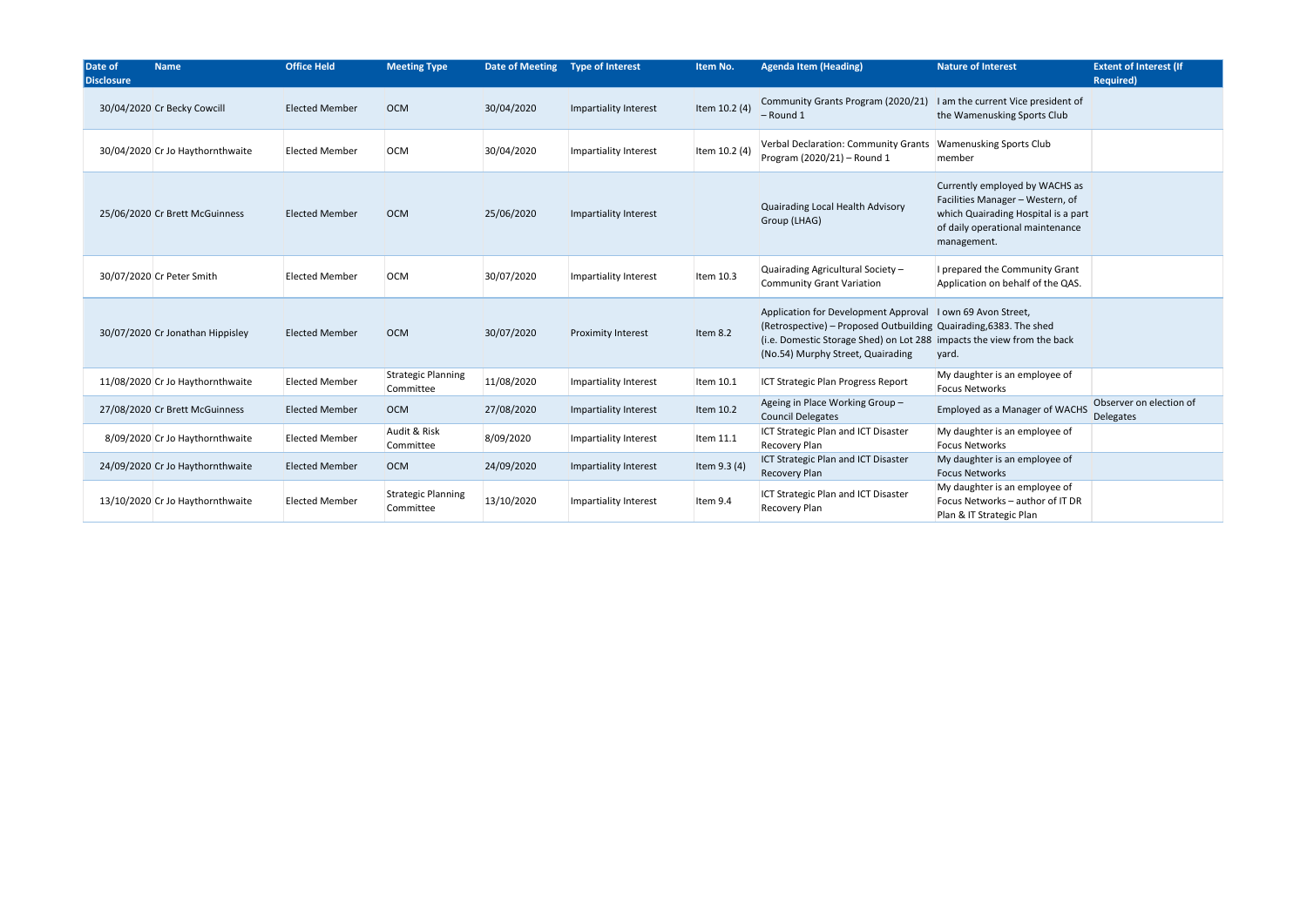| Date of<br><b>Disclosure</b> | <b>Name</b>                      | <b>Office Held</b>    | <b>Meeting Type</b>                    | Date of Meeting Type of Interest |                           | Item No.      | <b>Agenda Item (Heading)</b>                                                                                                                                                                                                                     | <b>Nature of Interest</b>                                                                                                                                    | <b>Extent of Interest (If</b><br><b>Required)</b> |
|------------------------------|----------------------------------|-----------------------|----------------------------------------|----------------------------------|---------------------------|---------------|--------------------------------------------------------------------------------------------------------------------------------------------------------------------------------------------------------------------------------------------------|--------------------------------------------------------------------------------------------------------------------------------------------------------------|---------------------------------------------------|
|                              | 30/04/2020 Cr Becky Cowcill      | <b>Elected Member</b> | <b>OCM</b>                             | 30/04/2020                       | Impartiality Interest     | Item 10.2 (4) | Community Grants Program (2020/21)<br>$-$ Round 1                                                                                                                                                                                                | I am the current Vice president of<br>the Wamenusking Sports Club                                                                                            |                                                   |
|                              | 30/04/2020 Cr Jo Haythornthwaite | <b>Elected Member</b> | <b>OCM</b>                             | 30/04/2020                       | Impartiality Interest     | Item 10.2 (4) | Verbal Declaration: Community Grants<br>Program (2020/21) - Round 1                                                                                                                                                                              | <b>Wamenusking Sports Club</b><br>member                                                                                                                     |                                                   |
|                              | 25/06/2020 Cr Brett McGuinness   | <b>Elected Member</b> | <b>OCM</b>                             | 25/06/2020                       | Impartiality Interest     |               | Quairading Local Health Advisory<br>Group (LHAG)                                                                                                                                                                                                 | Currently employed by WACHS as<br>Facilities Manager - Western, of<br>which Quairading Hospital is a part<br>of daily operational maintenance<br>management. |                                                   |
|                              | 30/07/2020 Cr Peter Smith        | <b>Elected Member</b> | <b>OCM</b>                             | 30/07/2020                       | Impartiality Interest     | Item 10.3     | Quairading Agricultural Society -<br><b>Community Grant Variation</b>                                                                                                                                                                            | I prepared the Community Grant<br>Application on behalf of the QAS.                                                                                          |                                                   |
|                              | 30/07/2020 Cr Jonathan Hippisley | <b>Elected Member</b> | <b>OCM</b>                             | 30/07/2020                       | <b>Proximity Interest</b> | Item 8.2      | Application for Development Approval   I own 69 Avon Street,<br>(Retrospective) – Proposed Outbuilding Quairading, 6383. The shed<br>(i.e. Domestic Storage Shed) on Lot 288 impacts the view from the back<br>(No.54) Murphy Street, Quairading | yard.                                                                                                                                                        |                                                   |
|                              | 11/08/2020 Cr Jo Haythornthwaite | <b>Elected Member</b> | <b>Strategic Planning</b><br>Committee | 11/08/2020                       | Impartiality Interest     | Item 10.1     | ICT Strategic Plan Progress Report                                                                                                                                                                                                               | My daughter is an employee of<br><b>Focus Networks</b>                                                                                                       |                                                   |
|                              | 27/08/2020 Cr Brett McGuinness   | <b>Elected Member</b> | <b>OCM</b>                             | 27/08/2020                       | Impartiality Interest     | Item 10.2     | Ageing in Place Working Group-<br><b>Council Delegates</b>                                                                                                                                                                                       | Employed as a Manager of WACHS                                                                                                                               | Observer on election of<br><b>Delegates</b>       |
|                              | 8/09/2020 Cr Jo Haythornthwaite  | <b>Elected Member</b> | Audit & Risk<br>Committee              | 8/09/2020                        | Impartiality Interest     | Item 11.1     | ICT Strategic Plan and ICT Disaster<br>Recovery Plan                                                                                                                                                                                             | My daughter is an employee of<br><b>Focus Networks</b>                                                                                                       |                                                   |
|                              | 24/09/2020 Cr Jo Haythornthwaite | <b>Elected Member</b> | <b>OCM</b>                             | 24/09/2020                       | Impartiality Interest     | Item 9.3 (4)  | ICT Strategic Plan and ICT Disaster<br><b>Recovery Plan</b>                                                                                                                                                                                      | My daughter is an employee of<br><b>Focus Networks</b>                                                                                                       |                                                   |
|                              | 13/10/2020 Cr Jo Haythornthwaite | <b>Elected Member</b> | <b>Strategic Planning</b><br>Committee | 13/10/2020                       | Impartiality Interest     | Item 9.4      | ICT Strategic Plan and ICT Disaster<br>Recovery Plan                                                                                                                                                                                             | My daughter is an employee of<br>Focus Networks - author of IT DR<br>Plan & IT Strategic Plan                                                                |                                                   |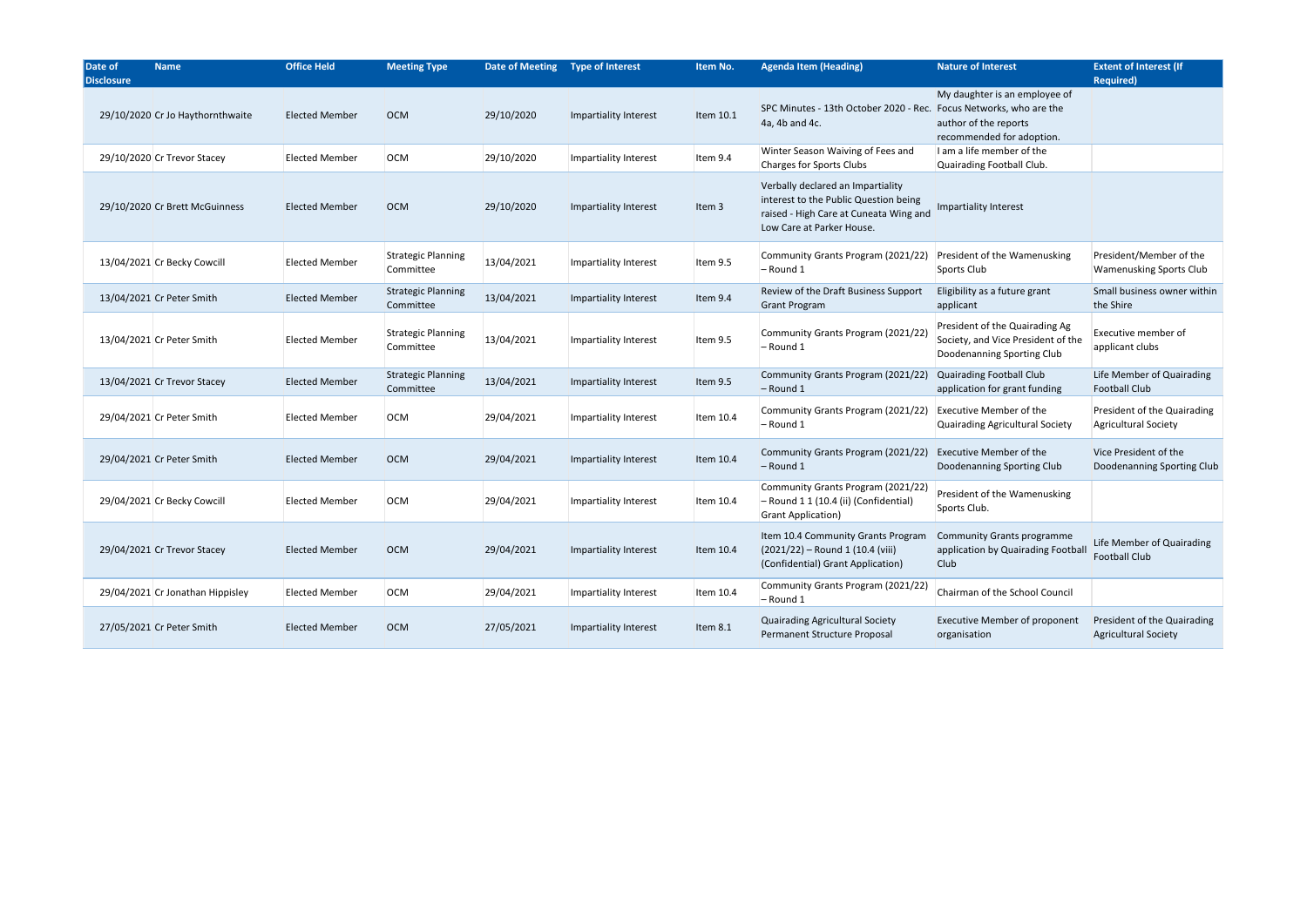| Date of<br><b>Disclosure</b> | <b>Name</b>                      | <b>Office Held</b>    | <b>Meeting Type</b>                    | Date of Meeting  Type of Interest |                       | Item No.  | <b>Agenda Item (Heading)</b>                                                                                                                      | <b>Nature of Interest</b>                                                                          | <b>Extent of Interest (If</b><br><b>Required)</b>          |
|------------------------------|----------------------------------|-----------------------|----------------------------------------|-----------------------------------|-----------------------|-----------|---------------------------------------------------------------------------------------------------------------------------------------------------|----------------------------------------------------------------------------------------------------|------------------------------------------------------------|
|                              | 29/10/2020 Cr Jo Haythornthwaite | <b>Elected Member</b> | <b>OCM</b>                             | 29/10/2020                        | Impartiality Interest | Item 10.1 | SPC Minutes - 13th October 2020 - Rec. Focus Networks, who are the<br>4a, 4b and 4c.                                                              | My daughter is an employee of<br>author of the reports<br>recommended for adoption.                |                                                            |
|                              | 29/10/2020 Cr Trevor Stacey      | <b>Elected Member</b> | OCM                                    | 29/10/2020                        | Impartiality Interest | Item 9.4  | Winter Season Waiving of Fees and<br><b>Charges for Sports Clubs</b>                                                                              | I am a life member of the<br>Quairading Football Club.                                             |                                                            |
|                              | 29/10/2020 Cr Brett McGuinness   | <b>Elected Member</b> | <b>OCM</b>                             | 29/10/2020                        | Impartiality Interest | Item 3    | Verbally declared an Impartiality<br>interest to the Public Question being<br>raised - High Care at Cuneata Wing and<br>Low Care at Parker House. | Impartiality Interest                                                                              |                                                            |
|                              | 13/04/2021 Cr Becky Cowcill      | <b>Elected Member</b> | <b>Strategic Planning</b><br>Committee | 13/04/2021                        | Impartiality Interest | Item 9.5  | Community Grants Program (2021/22)<br>$-$ Round 1                                                                                                 | President of the Wamenusking<br>Sports Club                                                        | President/Member of the<br><b>Wamenusking Sports Club</b>  |
|                              | 13/04/2021 Cr Peter Smith        | <b>Elected Member</b> | <b>Strategic Planning</b><br>Committee | 13/04/2021                        | Impartiality Interest | Item 9.4  | Review of the Draft Business Support<br><b>Grant Program</b>                                                                                      | Eligibility as a future grant<br>applicant                                                         | Small business owner within<br>the Shire                   |
|                              | 13/04/2021 Cr Peter Smith        | <b>Elected Member</b> | <b>Strategic Planning</b><br>Committee | 13/04/2021                        | Impartiality Interest | Item 9.5  | Community Grants Program (2021/22<br>– Round 1                                                                                                    | President of the Quairading Ag<br>Society, and Vice President of the<br>Doodenanning Sporting Club | Executive member of<br>applicant clubs                     |
|                              | 13/04/2021 Cr Trevor Stacey      | <b>Elected Member</b> | <b>Strategic Planning</b><br>Committee | 13/04/2021                        | Impartiality Interest | Item 9.5  | Community Grants Program (2021/22)<br>$-$ Round 1                                                                                                 | Quairading Football Club<br>application for grant funding                                          | Life Member of Quairading<br><b>Football Club</b>          |
|                              | 29/04/2021 Cr Peter Smith        | <b>Elected Member</b> | OCM                                    | 29/04/2021                        | Impartiality Interest | Item 10.4 | Community Grants Program (2021/22)<br>- Round 1                                                                                                   | <b>Executive Member of the</b><br><b>Quairading Agricultural Society</b>                           | President of the Quairading<br><b>Agricultural Society</b> |
|                              | 29/04/2021 Cr Peter Smith        | <b>Elected Member</b> | <b>OCM</b>                             | 29/04/2021                        | Impartiality Interest | Item 10.4 | Community Grants Program (2021/22)<br>$-$ Round 1                                                                                                 | <b>Executive Member of the</b><br>Doodenanning Sporting Club                                       | Vice President of the<br>Doodenanning Sporting Club        |
|                              | 29/04/2021 Cr Becky Cowcill      | <b>Elected Member</b> | OCM                                    | 29/04/2021                        | Impartiality Interest | Item 10.4 | Community Grants Program (2021/22<br>- Round 1 1 (10.4 (ii) (Confidential)<br><b>Grant Application)</b>                                           | President of the Wamenusking<br>Sports Club.                                                       |                                                            |
|                              | 29/04/2021 Cr Trevor Stacey      | <b>Elected Member</b> | OCM                                    | 29/04/2021                        | Impartiality Interest | Item 10.4 | Item 10.4 Community Grants Program Community Grants programme<br>(2021/22) – Round 1 (10.4 (viii)<br>(Confidential) Grant Application)            | application by Quairading Football<br><b>Club</b>                                                  | Life Member of Quairading<br><b>Football Club</b>          |
|                              | 29/04/2021 Cr Jonathan Hippisley | <b>Elected Member</b> | OCM                                    | 29/04/2021                        | Impartiality Interest | Item 10.4 | Community Grants Program (2021/22)<br>$-$ Round 1                                                                                                 | Chairman of the School Council                                                                     |                                                            |
|                              | 27/05/2021 Cr Peter Smith        | <b>Elected Member</b> | <b>OCM</b>                             | 27/05/2021                        | Impartiality Interest | Item 8.1  | Quairading Agricultural Society<br>Permanent Structure Proposal                                                                                   | <b>Executive Member of proponent</b><br>organisation                                               | President of the Quairading<br><b>Agricultural Society</b> |